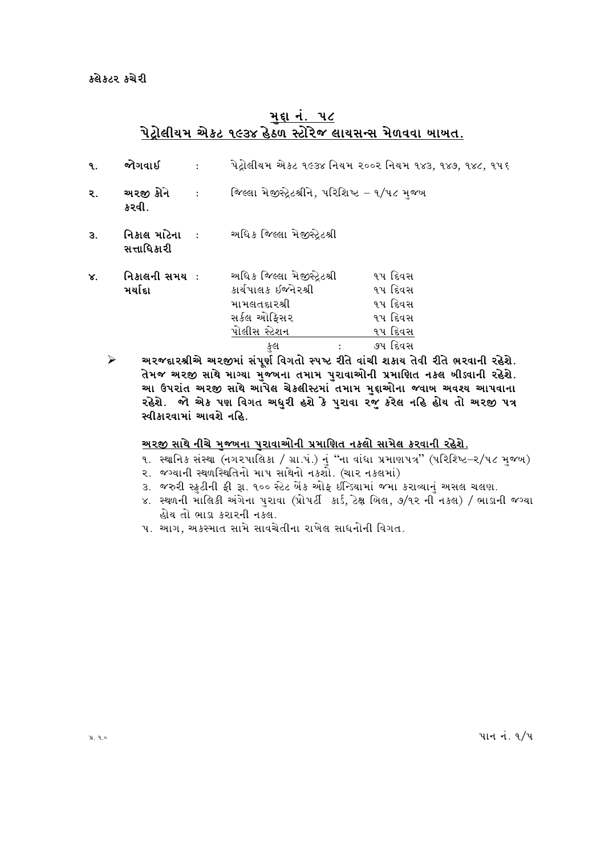### મદ્દા નં. ૫૮ <u>પેટ્રોલીયમ એક્ટ ૧૯૩૪ હેઠળ સ્ટોરેજ લાયસન્સ મેળવવા ખાખત.</u>

| ۹. | જોગવાઈ                                     |                                                                                                   | પેટ્રોલીયમ એક્ટ ૧૯૩૪ નિયમ ૨૦૦૨ નિયમ ૧૪૩, ૧૪૭, ૧૪૮, ૧૫૬ |  |
|----|--------------------------------------------|---------------------------------------------------------------------------------------------------|--------------------------------------------------------|--|
| ૨. | અરજી કોને<br>$\sim$ $\sim$ $\sim$<br>કરવી. | જિલ્લા મેજીસ્ટ્રેટશ્રીને, પરિશિષ્ટ – ૧/૫૮ મજ્ય                                                    |                                                        |  |
| З. | નિકાલ માટેના ઃ<br>સત્તાધિકારી              | અધિક જિલ્લા મેજીસ્ટ્રેટશ્રી                                                                       |                                                        |  |
| X. | નિકાલની સમય :<br>મર્યાદા                   | અધિક જિલ્લા મેજીસ્ટ્રેટશ્રી<br>કાર્યપાલક ઇજનેરશ્રી<br>મામલતદારશ્રી<br>સર્કલ ઓફિસર<br>પોલીસ સ્ટેશન | ૧૫ દિવસ<br>૧૫ દિવસ<br>૧૫ દિવસ<br>૧૫ દિવસ<br>૧૫ દિવસ    |  |
|    |                                            | કુલ<br>$\cdot$ $\cdot$ $\sim$                                                                     | ૭૫ દિવસ<br>$\sim$                                      |  |

અરજદારશ્રીએ અરજીમાં સંપૂર્ણ વિગતો સ્પષ્ટ રીતે વાંચી શકાય તેવી રીતે ભરવાની રહેશે. ➤ તેમજ અરજી સાથે માગ્યા મુજબના તમામ પુરાવાઓની પ્રમાણિત નકલ બીડવાની રહેશે. ...<br>આ ઉપરાંત અરજી સાથે આપેલ ચેક્લીસ્ટમાં તમામ મુદ્દાઓના જવાબ અવશ્ય આપવાના રહેશે. જો એક પણ વિગત અધુરી હશે કે પુરાવા રજુ કરેલ નહિ હોય તો અરજી પત્ર સ્વીકારવામાં આવશે નહિ.

#### <u>અરજી સાથે નીચે મજબના પરાવાઓની પ્રમાણિત નકલો સામેલ કરવાની રહેશે.</u>

- ૧. સ્થાનિક સંસ્થા (નગરપાલિકા / ગ્રા.પં.) નું "ના વાંધા પ્રમાણપત્ર" (પરિશ્ષ્ટિ–૨/૫૮ મુજબ)
- ૨. જગ્યાની સ્થળસ્થિતિનો માપ સાથેનો નકશો. (ચાર નકલમાં)
- ૩. જરુરી સ્કુટીની ફી રૂા. ૧૦૦ સ્ટેટ બેંક ઓફ ઇન્ડિયામાં જમા કરાવ્યાનું અસલ ચલણ.
- ૪. સ્થળની માલિકી અંગેના પુરાવા (પ્રોપર્ટી કાર્ડ, ટેક્ષ બિલ, ૭/૧૨ ની નકલ) / ભાડાની જગ્યા હોય તો ભાડા કરારની નકલ.
- ૫. આગ, અકસ્માત સામે સાવચેતીના રાખેલ સાધનોની વિગત.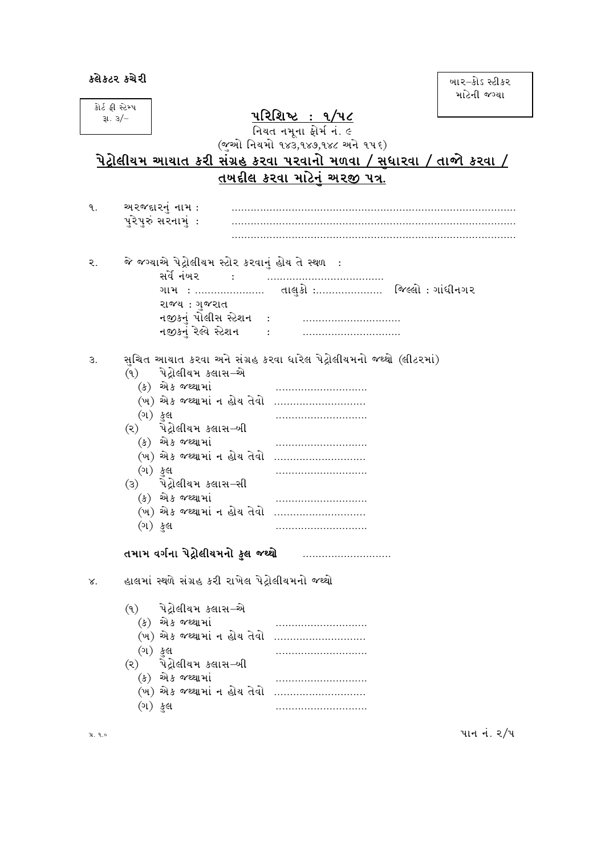બાર–કોડ સ્ટીકર માટેની જગ્યા

|                           |  |                                                     |                                                                             | માટના જગ્યા |
|---------------------------|--|-----------------------------------------------------|-----------------------------------------------------------------------------|-------------|
| કોર્ટ ફી સ્ટેમ્પ<br>31.3/ |  |                                                     | <u> પરિશિષ્ટ : ૧/૫૮</u>                                                     |             |
|                           |  |                                                     | નિયત નમૂના ફોર્મ નં. ૯                                                      |             |
|                           |  |                                                     | (જૂઓ નિયમો ૧૪૩,૧૪૭,૧૪૮ અને ૧૫૬)                                             |             |
|                           |  |                                                     | <u>પેટ્રોલીયમ આચાત કરી સંગ્રહ કરવા પરવાનો મળવા / સુધારવા / તાજો કરવા / </u> |             |
|                           |  |                                                     | <u>તખદીલ કરવા માટેન અરજી પત્ર.</u>                                          |             |
|                           |  |                                                     |                                                                             |             |
| ٩.                        |  | અરજદારનં નામ :                                      |                                                                             |             |
|                           |  | પુરેપુરું સરનામું:                                  |                                                                             |             |
|                           |  |                                                     |                                                                             |             |
|                           |  |                                                     |                                                                             |             |
| ૨.                        |  | જે જગ્યાએ પેટ્રોલીયમ સ્ટોર કરવાનું હોય તે સ્થળ :    |                                                                             |             |
|                           |  | સર્વે નંબર                                          |                                                                             |             |
|                           |  |                                                     |                                                                             |             |
|                           |  | રાજ્ય: ગજરાત                                        |                                                                             |             |
|                           |  | નજીકનું પોલીસ સ્ટેશન   :<br>નજીકનું રેલ્વે સ્ટેશન : |                                                                             |             |
|                           |  |                                                     |                                                                             |             |
| З.                        |  |                                                     | સુચિત આચાત કરવા અને સંગ્રહ કરવા ધારેલ પેટ્રોલીયમનો જથ્થો (લીટરમાં)          |             |
|                           |  | (૧) પેટ્રોલીયમ કલાસ–એ                               |                                                                             |             |
|                           |  | (ક) એક જથ્થામાં                                     |                                                                             |             |
|                           |  | (ખ) એક જથ્થામાં ન હોય તેવો                          |                                                                             |             |
|                           |  | (ગ) કુલ                                             |                                                                             |             |
|                           |  | (૨) પેટ્રોલીયમ કલાસ–ખી                              |                                                                             |             |
|                           |  | (ક) એક જથ્થામાં                                     |                                                                             |             |
|                           |  | (ખ) એક જથ્થામાં ન હોય તેવો                          |                                                                             |             |
|                           |  | (ગ) ફુલ                                             |                                                                             |             |
|                           |  | (૩) પેટ્રોલીયમ કલાસ-સી                              |                                                                             |             |
|                           |  | (ક) એક જથ્થામાં<br>(ખ) એક જથ્થામાં ન હોય તેવો       |                                                                             |             |
|                           |  | (ગ) <i>કુ</i> લ                                     |                                                                             |             |
|                           |  |                                                     |                                                                             |             |
|                           |  | તમામ વર્ગના પેટ્રોલીયમનો ફુલ જથ્થો                  |                                                                             |             |
|                           |  |                                                     |                                                                             |             |
| ४.                        |  | હાલમાં સ્થળે સંગ્રહ કરી રાખેલ પેટ્રોલીયમનો જથ્થો    |                                                                             |             |
|                           |  |                                                     |                                                                             |             |
|                           |  | (૧) પેટ્રોલીયમ કલાસ–એ                               |                                                                             |             |
|                           |  | (ક) એક જથ્થામાં                                     |                                                                             |             |
|                           |  | (ખ) એક જથ્થામાં ન હોય તેવો                          |                                                                             |             |
|                           |  | (ગ) ફુલ                                             |                                                                             |             |
|                           |  | (૨) પેટ્રોલીયમ કલાસ–બી<br>(ક) એક જથ્થામાં           |                                                                             |             |
|                           |  | (ખ) એક જથ્થામાં ન હોય તેવો                          |                                                                             |             |
|                           |  | (ગ) ફુલ                                             |                                                                             |             |
|                           |  |                                                     |                                                                             |             |
| પ્ર. ૧.૦                  |  |                                                     |                                                                             | પાન નં. ૨/૫ |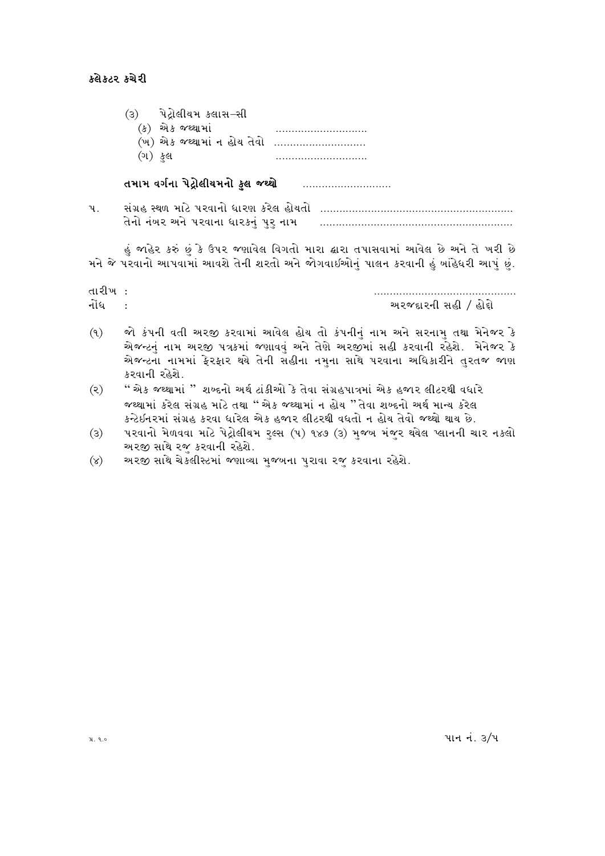#### કલેકટર કચેરી

- (૩) પેટ્રોલીયમ કલાસ–સી<br>(ક) એક જથ્થામાં
	- sSf V[S HyYFDF\ PPPPPPPPPPPPPPPPPPPPPPPPPPPPP
	- (ખ) એક જથ્થામાં ન હોય તેવો ............................
	- $\left( \partial \mathfrak{l} \right)$  કુલ

### તમામ વર્ગના પેટ્રોલીયમનો ફુલ જથ્થો ............................

| સંગ્રહ સ્થળ માટે પરવાનો ધારણ કરેલ હોયતો |  |
|-----------------------------------------|--|
| તેનો નંબર અને પરવાના ધારકનં પર નામ      |  |

હું જાહેર કરું છું કે ઉપર જણાવેલ વિગતો મારા ઢારા તપાસવામાં આવેલ છે અને તે ખરી છે મને જે પરવાનો આપવામાં આવશે તેની શરતો અને જોગવાઈઓનં પાલન કરવાની હું બાંહેધરી આપં છું.

| તારીખ |                       |
|-------|-----------------------|
| નોંધ  | અરજદારની સહી / હોદ્દો |

- $\delta(\theta)$  જો કંપની વતી અરજી કરવામાં આવેલ હોય તો કંપનીનં નામ અને સરનામ તથા મેનેજર કે એજન્ટનું નામ અરજી પત્રકમાં જણાવવું અને તેણે અરજીમાં સહી કરવાની રહેશે. મેનેજર કે એજન્ટના નામમાં ફેરફાર થયે તેની સહીના નમુના સાથે પરવાના અધિકારીને તુરતજ જાણ કરવાની રહેશે.
- (૨) " એક જથ્થામાં " શબ્દનો અર્થ ટાંકીઓ કે તેવા સંગ્રહપાત્રમાં એક હજાર લીટરથી વધારે જથ્થામાં કરેલ સંગ્રહ માટે તથા " એક જથ્થામાં ન હોય "તેવા શબ્દનો અર્થ માન્ય કરેલ કન્ટેઇનરમાં સંગ્રહ કરવા ધારેલ એક હજાર લીટરથી વધતો ન હોય તેવો જથ્થો થાય છે.
- (3) પરવાનો મેળવવા માટે પેટ્રોલીયમ રૃલ્સ (૫) ૧૪૭ (3) મુજબ મંજુર થયેલ પ્લાનની ચાર નકલો અરજી સાથે રજુ કરવાની રહેશે.
- (૪) અરજી સાથે ચેકલીસ્ટમાં જણાવ્યા મુજબના પુરાવા રજુ કરવાના રહેશે.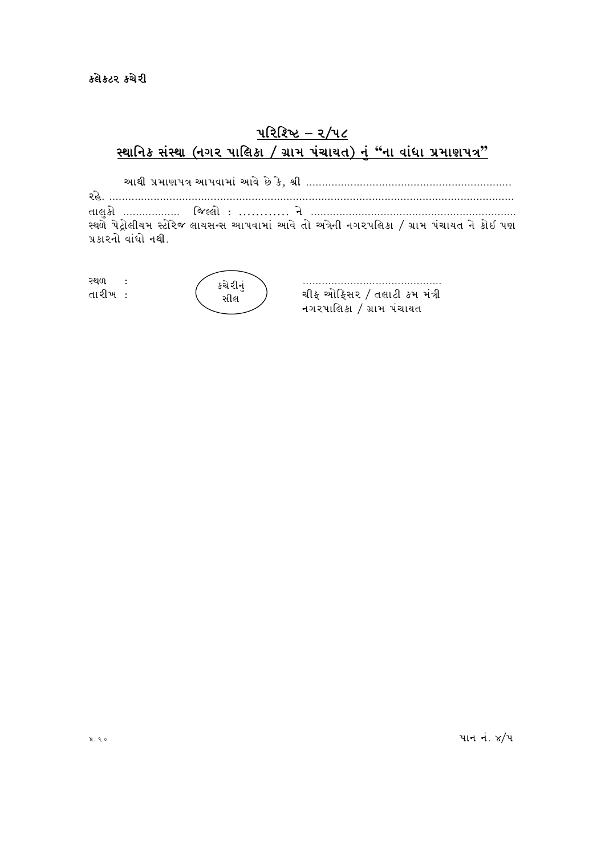# <u> પરિશ્ચિ – ર/૫૮</u> <u> સ્થાનિક સંસ્થા (નગર પાલિકા / ગ્રામ પંચાયત) નં "ના વાંધા પ્રમાણપત્ર"</u>

VFYL 5|DF65+ VF5JFDF\ VFJ[ K[ S[4 zL PPPPPPPPPPPPPPPPPPPPPPPPPPPPPPPPPPPPPPPPPPPPPPPPPPPPPPPPPPPPPPPPP ZC[P PPPPPPPPPPPPPPPPPPPPPPPPPPPPPPPPPPPPPPPPPPPPPPPPPPPPPPPPPPPPPPPPPPPPPPPPPPPPPPPPPPPPPPPPPPPPPPPPPPPPPPPPPPPPPPPPPPPPPPPPPPPPPPPP TF,]SM PPPPPPPPPPPPPPPPPP lH<,M o ………… G [ PPPPPPPPPPPPPPPPPPPPPPPPPPPPPPPPPPPPPPPPPPPPPPPPPPPPPPPPPPPPPPPPP સ્થળે પેટ્રોલીયમ સ્ટોરેજ લાયસન્સ આપવામાં આવે તો અત્રેની નગરપલિકા */* ગ્રામ પંચાયત ને કોઇ પણ પ્રકારનો વાંધો નથી.

| સ્થળ<br>તારીખ : | કચેરીનં<br>સીલ | ચીફ ઓફિસર / તલાટી કમ મંત્રી |
|-----------------|----------------|-----------------------------|
|                 |                | નગરપાલિકા / ગ્રામ પંચાયત    |